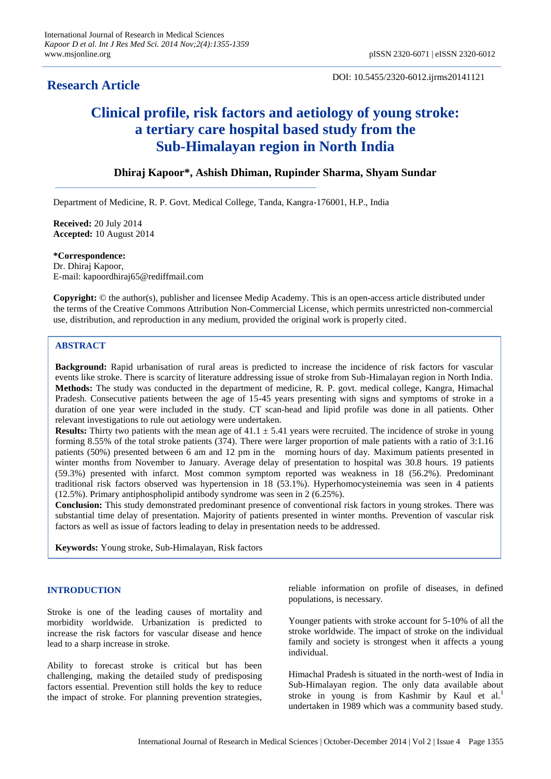# **Research Article**

DOI: 10.5455/2320-6012.ijrms20141121

# **Clinical profile, risk factors and aetiology of young stroke: a tertiary care hospital based study from the Sub-Himalayan region in North India**

# **Dhiraj Kapoor\*, Ashish Dhiman, Rupinder Sharma, Shyam Sundar**

Department of Medicine, R. P. Govt. Medical College, Tanda, Kangra-176001, H.P., India

**Received:** 20 July 2014 **Accepted:** 10 August 2014

**\*Correspondence:** Dr. Dhiraj Kapoor, E-mail: kapoordhiraj65@rediffmail.com

**Copyright:** © the author(s), publisher and licensee Medip Academy. This is an open-access article distributed under the terms of the Creative Commons Attribution Non-Commercial License, which permits unrestricted non-commercial use, distribution, and reproduction in any medium, provided the original work is properly cited.

# **ABSTRACT**

**Background:** Rapid urbanisation of rural areas is predicted to increase the incidence of risk factors for vascular events like stroke. There is scarcity of literature addressing issue of stroke from Sub-Himalayan region in North India. **Methods:** The study was conducted in the department of medicine, R. P. govt. medical college, Kangra, Himachal Pradesh. Consecutive patients between the age of 15-45 years presenting with signs and symptoms of stroke in a duration of one year were included in the study. CT scan-head and lipid profile was done in all patients. Other relevant investigations to rule out aetiology were undertaken.

**Results:** Thirty two patients with the mean age of  $41.1 \pm 5.41$  years were recruited. The incidence of stroke in young forming 8.55% of the total stroke patients (374). There were larger proportion of male patients with a ratio of 3:1.16 patients (50%) presented between 6 am and 12 pm in the morning hours of day. Maximum patients presented in winter months from November to January. Average delay of presentation to hospital was 30.8 hours. 19 patients (59.3%) presented with infarct. Most common symptom reported was weakness in 18 (56.2%). Predominant traditional risk factors observed was hypertension in 18 (53.1%). Hyperhomocysteinemia was seen in 4 patients (12.5%). Primary antiphospholipid antibody syndrome was seen in 2 (6.25%).

**Conclusion:** This study demonstrated predominant presence of conventional risk factors in young strokes. There was substantial time delay of presentation. Majority of patients presented in winter months. Prevention of vascular risk factors as well as issue of factors leading to delay in presentation needs to be addressed.

**Keywords:** Young stroke, Sub-Himalayan, Risk factors

### **INTRODUCTION**

Stroke is one of the leading causes of mortality and morbidity worldwide. Urbanization is predicted to increase the risk factors for vascular disease and hence lead to a sharp increase in stroke.

Ability to forecast stroke is critical but has been challenging, making the detailed study of predisposing factors essential. Prevention still holds the key to reduce the impact of stroke. For planning prevention strategies,

reliable information on profile of diseases, in defined populations, is necessary.

Younger patients with stroke account for 5-10% of all the stroke worldwide. The impact of stroke on the individual family and society is strongest when it affects a young individual.

Himachal Pradesh is situated in the north-west of India in Sub-Himalayan region. The only data available about stroke in young is from Kashmir by Kaul et al.<sup>1</sup> undertaken in 1989 which was a community based study.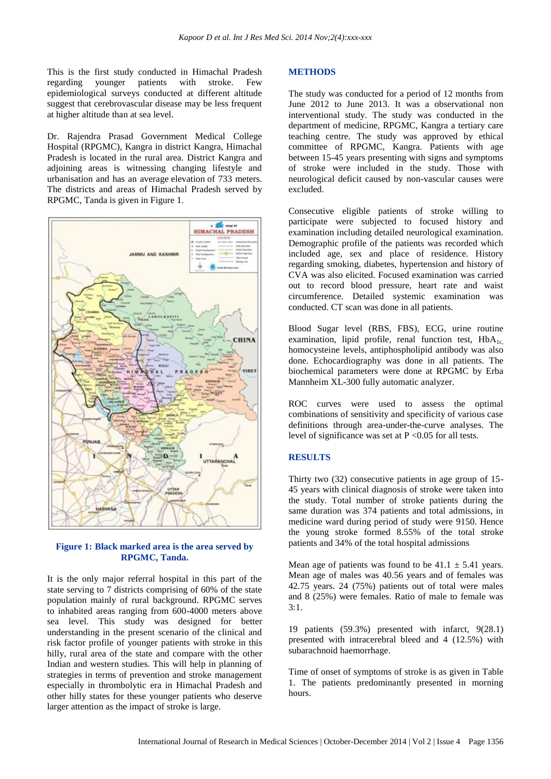This is the first study conducted in Himachal Pradesh regarding younger patients with stroke. Few epidemiological surveys conducted at different altitude suggest that cerebrovascular disease may be less frequent at higher altitude than at sea level.

Dr. Rajendra Prasad Government Medical College Hospital (RPGMC), Kangra in district Kangra, Himachal Pradesh is located in the rural area. District Kangra and adjoining areas is witnessing changing lifestyle and urbanisation and has an average elevation of 733 meters. The districts and areas of Himachal Pradesh served by RPGMC, Tanda is given in Figure 1.





It is the only major referral hospital in this part of the state serving to 7 districts comprising of 60% of the state population mainly of rural background. RPGMC serves to inhabited areas ranging from 600-4000 meters above sea level. This study was designed for better understanding in the present scenario of the clinical and risk factor profile of younger patients with stroke in this hilly, rural area of the state and compare with the other Indian and western studies. This will help in planning of strategies in terms of prevention and stroke management especially in thrombolytic era in Himachal Pradesh and other hilly states for these younger patients who deserve larger attention as the impact of stroke is large.

#### **METHODS**

The study was conducted for a period of 12 months from June 2012 to June 2013. It was a observational non interventional study. The study was conducted in the department of medicine, RPGMC, Kangra a tertiary care teaching centre. The study was approved by ethical committee of RPGMC, Kangra. Patients with age between 15-45 years presenting with signs and symptoms of stroke were included in the study. Those with neurological deficit caused by non-vascular causes were excluded.

Consecutive eligible patients of stroke willing to participate were subjected to focused history and examination including detailed neurological examination. Demographic profile of the patients was recorded which included age, sex and place of residence. History regarding smoking, diabetes, hypertension and history of CVA was also elicited. Focused examination was carried out to record blood pressure, heart rate and waist circumference. Detailed systemic examination was conducted. CT scan was done in all patients.

Blood Sugar level (RBS, FBS), ECG, urine routine examination, lipid profile, renal function test,  $HbA_{1c}$ homocysteine levels, antiphospholipid antibody was also done. Echocardiography was done in all patients. The biochemical parameters were done at RPGMC by Erba Mannheim XL-300 fully automatic analyzer.

ROC curves were used to assess the optimal combinations of sensitivity and specificity of various case definitions through area-under-the-curve analyses. The level of significance was set at  $P \le 0.05$  for all tests.

#### **RESULTS**

Thirty two (32) consecutive patients in age group of 15- 45 years with clinical diagnosis of stroke were taken into the study. Total number of stroke patients during the same duration was 374 patients and total admissions, in medicine ward during period of study were 9150. Hence the young stroke formed 8.55% of the total stroke patients and 34% of the total hospital admissions

Mean age of patients was found to be  $41.1 \pm 5.41$  years. Mean age of males was 40.56 years and of females was 42.75 years. 24 (75%) patients out of total were males and 8 (25%) were females. Ratio of male to female was 3:1.

19 patients (59.3%) presented with infarct, 9(28.1) presented with intracerebral bleed and 4 (12.5%) with subarachnoid haemorrhage.

Time of onset of symptoms of stroke is as given in Table 1. The patients predominantly presented in morning hours.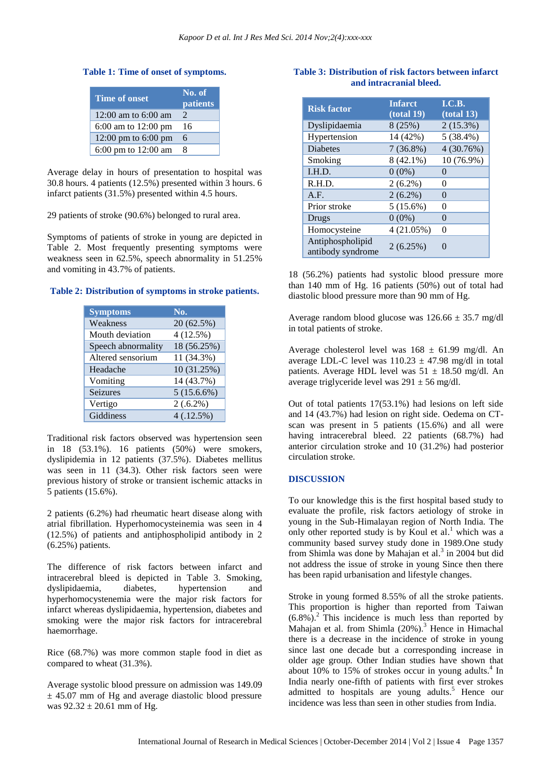#### **Table 1: Time of onset of symptoms.**

| <b>Time of onset</b>          | No. of<br><b>patients</b>   |
|-------------------------------|-----------------------------|
| 12:00 am to $6:00$ am         | $\mathcal{D}_{\mathcal{A}}$ |
| 6:00 am to $12:00 \text{ pm}$ | 16                          |
| 12:00 pm to $6:00$ pm         | 6                           |
| 6:00 pm to 12:00 am           | 8                           |

Average delay in hours of presentation to hospital was 30.8 hours. 4 patients (12.5%) presented within 3 hours. 6 infarct patients (31.5%) presented within 4.5 hours.

29 patients of stroke (90.6%) belonged to rural area.

Symptoms of patients of stroke in young are depicted in Table 2. Most frequently presenting symptoms were weakness seen in 62.5%, speech abnormality in 51.25% and vomiting in 43.7% of patients.

#### **Table 2: Distribution of symptoms in stroke patients.**

| <b>Symptoms</b>    | No.           |
|--------------------|---------------|
| Weakness           | 20 (62.5%)    |
| Mouth deviation    | 4(12.5%)      |
| Speech abnormality | 18 (56.25%)   |
| Altered sensorium  | 11 (34.3%)    |
| Headache           | 10 (31.25%)   |
| Vomiting           | 14 (43.7%)    |
| <b>Seizures</b>    | $5(15.6.6\%)$ |
| Vertigo            | $2(.6.2\%)$   |
| Giddiness          | 4(.12.5%)     |

Traditional risk factors observed was hypertension seen in 18 (53.1%). 16 patients (50%) were smokers, dyslipidemia in 12 patients (37.5%). Diabetes mellitus was seen in 11 (34.3). Other risk factors seen were previous history of stroke or transient ischemic attacks in 5 patients (15.6%).

2 patients (6.2%) had rheumatic heart disease along with atrial fibrillation. Hyperhomocysteinemia was seen in 4 (12.5%) of patients and antiphospholipid antibody in 2 (6.25%) patients.

The difference of risk factors between infarct and intracerebral bleed is depicted in Table 3. Smoking, dyslipidaemia, diabetes, hypertension and hyperhomocystenemia were the major risk factors for infarct whereas dyslipidaemia, hypertension, diabetes and smoking were the major risk factors for intracerebral haemorrhage.

Rice (68.7%) was more common staple food in diet as compared to wheat (31.3%).

Average systolic blood pressure on admission was 149.09  $\pm$  45.07 mm of Hg and average diastolic blood pressure was  $92.32 \pm 20.61$  mm of Hg.

# **Table 3: Distribution of risk factors between infarct and intracranial bleed.**

| <b>Risk factor</b>                    | <b>Infarct</b><br>(total 19) | I.C.B.<br>(total 13) |
|---------------------------------------|------------------------------|----------------------|
| Dyslipidaemia                         | 8(25%)                       | $2(15.3\%)$          |
| Hypertension                          | 14 (42%)                     | $5(38.4\%)$          |
| <b>Diabetes</b>                       | $7(36.8\%)$                  | 4(30.76%)            |
| Smoking                               | $8(42.1\%)$                  | 10 (76.9%)           |
| I.H.D.                                | $0(0\%)$                     | $\Omega$             |
| R.H.D.                                | $2(6.2\%)$                   | 0                    |
| A.F.                                  | $2(6.2\%)$                   | 0                    |
| Prior stroke                          | $5(15.6\%)$                  | 0                    |
| Drugs                                 | $0(0\%)$                     | 0                    |
| Homocysteine                          | 4(21.05%)                    | 0                    |
| Antiphospholipid<br>antibody syndrome | 2(6.25%)                     | $\mathcal{O}$        |

18 (56.2%) patients had systolic blood pressure more than 140 mm of Hg. 16 patients (50%) out of total had diastolic blood pressure more than 90 mm of Hg.

Average random blood glucose was  $126.66 \pm 35.7$  mg/dl in total patients of stroke.

Average cholesterol level was  $168 \pm 61.99$  mg/dl. An average LDL-C level was  $110.23 \pm 47.98$  mg/dl in total patients. Average HDL level was  $51 \pm 18.50$  mg/dl. An average triglyceride level was  $291 \pm 56$  mg/dl.

Out of total patients 17(53.1%) had lesions on left side and 14 (43.7%) had lesion on right side. Oedema on CTscan was present in 5 patients (15.6%) and all were having intracerebral bleed. 22 patients (68.7%) had anterior circulation stroke and 10 (31.2%) had posterior circulation stroke.

#### **DISCUSSION**

To our knowledge this is the first hospital based study to evaluate the profile, risk factors aetiology of stroke in young in the Sub-Himalayan region of North India. The only other reported study is by Koul et al.<sup>1</sup> which was a community based survey study done in 1989.One study from Shimla was done by Mahajan et al. 3 in 2004 but did not address the issue of stroke in young Since then there has been rapid urbanisation and lifestyle changes.

Stroke in young formed 8.55% of all the stroke patients. This proportion is higher than reported from Taiwan  $(6.8\%)$ <sup>2</sup>. This incidence is much less than reported by Mahajan et al. from Shimla (20%). <sup>3</sup> Hence in Himachal there is a decrease in the incidence of stroke in young since last one decade but a corresponding increase in older age group. Other Indian studies have shown that about 10% to 15% of strokes occur in young adults.<sup>4</sup> In India nearly one-fifth of patients with first ever strokes admitted to hospitals are young adults. <sup>5</sup> Hence our incidence was less than seen in other studies from India.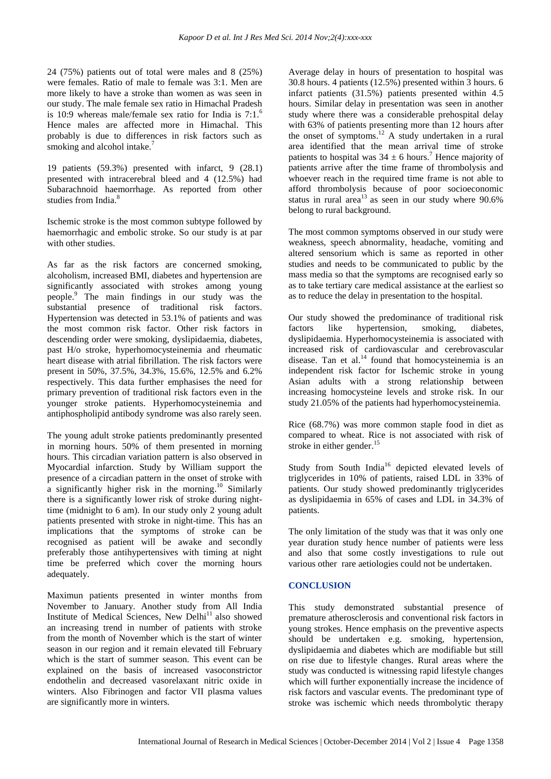24 (75%) patients out of total were males and 8 (25%) were females. Ratio of male to female was 3:1. Men are more likely to have a stroke than women as was seen in our study. The male female sex ratio in Himachal Pradesh is 10:9 whereas male/female sex ratio for India is  $7:1.^6$ Hence males are affected more in Himachal. This probably is due to differences in risk factors such as smoking and alcohol intake.<sup>7</sup>

19 patients (59.3%) presented with infarct, 9 (28.1) presented with intracerebral bleed and 4 (12.5%) had Subarachnoid haemorrhage. As reported from other studies from India. 8

Ischemic stroke is the most common subtype followed by haemorrhagic and embolic stroke. So our study is at par with other studies.

As far as the risk factors are concerned smoking, alcoholism, increased BMI, diabetes and hypertension are significantly associated with strokes among young people. <sup>9</sup> The main findings in our study was the substantial presence of traditional risk factors. Hypertension was detected in 53.1% of patients and was the most common risk factor. Other risk factors in descending order were smoking, dyslipidaemia, diabetes, past H/o stroke, hyperhomocysteinemia and rheumatic heart disease with atrial fibrillation. The risk factors were present in 50%, 37.5%, 34.3%, 15.6%, 12.5% and 6.2% respectively. This data further emphasises the need for primary prevention of traditional risk factors even in the younger stroke patients. Hyperhomocysteinemia and antiphospholipid antibody syndrome was also rarely seen.

The young adult stroke patients predominantly presented in morning hours. 50% of them presented in morning hours. This circadian variation pattern is also observed in Myocardial infarction. Study by William support the presence of a circadian pattern in the onset of stroke with a significantly higher risk in the morning.<sup>10</sup> Similarly there is a significantly lower risk of stroke during nighttime (midnight to 6 am). In our study only 2 young adult patients presented with stroke in night-time. This has an implications that the symptoms of stroke can be recognised as patient will be awake and secondly preferably those antihypertensives with timing at night time be preferred which cover the morning hours adequately.

Maximun patients presented in winter months from November to January. Another study from All India Institute of Medical Sciences, New Delhi<sup>11</sup> also showed an increasing trend in number of patients with stroke from the month of November which is the start of winter season in our region and it remain elevated till February which is the start of summer season. This event can be explained on the basis of increased vasoconstrictor endothelin and decreased vasorelaxant nitric oxide in winters. Also Fibrinogen and factor VII plasma values are significantly more in winters.

Average delay in hours of presentation to hospital was 30.8 hours. 4 patients (12.5%) presented within 3 hours. 6 infarct patients (31.5%) patients presented within 4.5 hours. Similar delay in presentation was seen in another study where there was a considerable prehospital delay with 63% of patients presenting more than 12 hours after the onset of symptoms. <sup>12</sup> A study undertaken in a rural area identified that the mean arrival time of stroke patients to hospital was  $34 \pm 6$  hours.<sup>7</sup> Hence majority of patients arrive after the time frame of thrombolysis and whoever reach in the required time frame is not able to afford thrombolysis because of poor socioeconomic status in rural area<sup>13</sup> as seen in our study where  $90.6\%$ belong to rural background.

The most common symptoms observed in our study were weakness, speech abnormality, headache, vomiting and altered sensorium which is same as reported in other studies and needs to be communicated to public by the mass media so that the symptoms are recognised early so as to take tertiary care medical assistance at the earliest so as to reduce the delay in presentation to the hospital.

Our study showed the predominance of traditional risk factors like hypertension, smoking, diabetes, dyslipidaemia. Hyperhomocysteinemia is associated with increased risk of cardiovascular and cerebrovascular disease. Tan et al. $<sup>14</sup>$  found that homocysteinemia is an</sup> independent risk factor for Ischemic stroke in young Asian adults with a strong relationship between increasing homocysteine levels and stroke risk. In our study 21.05% of the patients had hyperhomocysteinemia.

Rice (68.7%) was more common staple food in diet as compared to wheat. Rice is not associated with risk of stroke in either gender.<sup>15</sup>

Study from South India<sup>16</sup> depicted elevated levels of triglycerides in 10% of patients, raised LDL in 33% of patients. Our study showed predominantly triglycerides as dyslipidaemia in 65% of cases and LDL in 34.3% of patients.

The only limitation of the study was that it was only one year duration study hence number of patients were less and also that some costly investigations to rule out various other rare aetiologies could not be undertaken.

# **CONCLUSION**

This study demonstrated substantial presence of premature atherosclerosis and conventional risk factors in young strokes. Hence emphasis on the preventive aspects should be undertaken e.g. smoking, hypertension, dyslipidaemia and diabetes which are modifiable but still on rise due to lifestyle changes. Rural areas where the study was conducted is witnessing rapid lifestyle changes which will further exponentially increase the incidence of risk factors and vascular events. The predominant type of stroke was ischemic which needs thrombolytic therapy